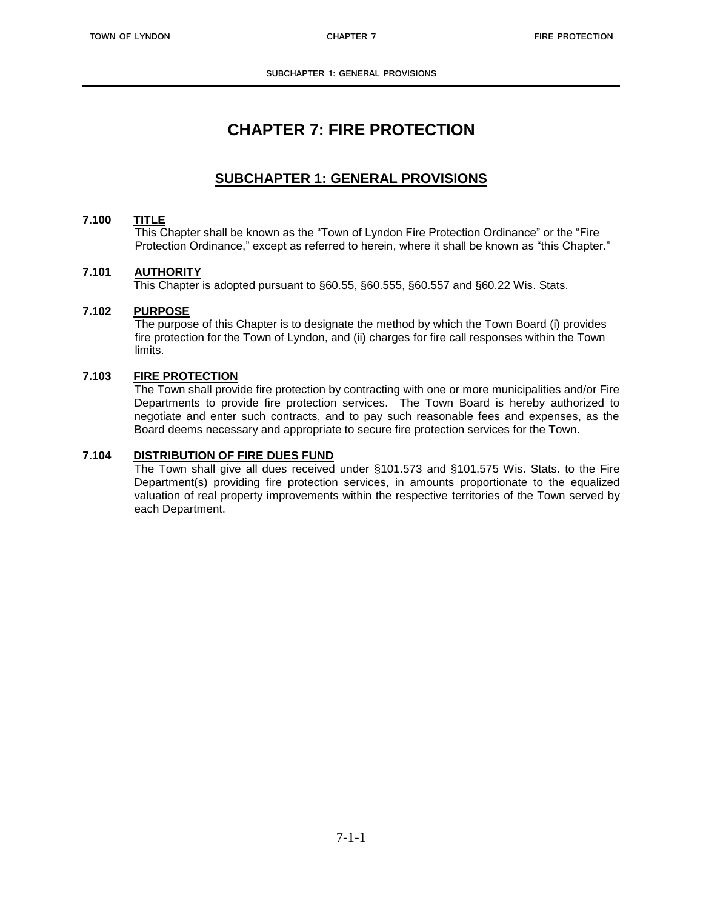**SUBCHAPTER 1: GENERAL PROVISIONS**

# **CHAPTER 7: FIRE PROTECTION**

## **SUBCHAPTER 1: GENERAL PROVISIONS**

### **7.100 TITLE**

This Chapter shall be known as the "Town of Lyndon Fire Protection Ordinance" or the "Fire Protection Ordinance," except as referred to herein, where it shall be known as "this Chapter."

#### **7.101 AUTHORITY**

This Chapter is adopted pursuant to §60.55, §60.555, §60.557 and §60.22 Wis. Stats.

#### **7.102 PURPOSE**

The purpose of this Chapter is to designate the method by which the Town Board (i) provides fire protection for the Town of Lyndon, and (ii) charges for fire call responses within the Town limits.

#### **7.103 FIRE PROTECTION**

The Town shall provide fire protection by contracting with one or more municipalities and/or Fire Departments to provide fire protection services. The Town Board is hereby authorized to negotiate and enter such contracts, and to pay such reasonable fees and expenses, as the Board deems necessary and appropriate to secure fire protection services for the Town.

#### **7.104 DISTRIBUTION OF FIRE DUES FUND**

The Town shall give all dues received under §101.573 and §101.575 Wis. Stats. to the Fire Department(s) providing fire protection services, in amounts proportionate to the equalized valuation of real property improvements within the respective territories of the Town served by each Department.